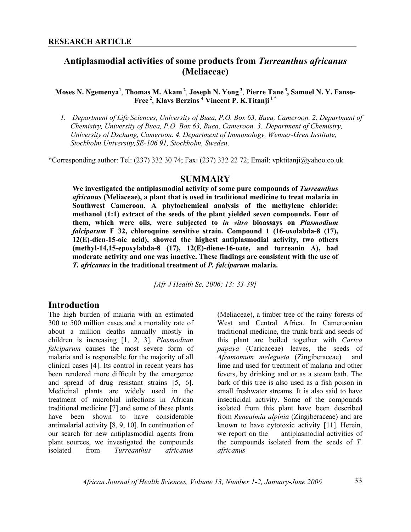# **Antiplasmodial activities of some products from** *Turreanthus africanus*  **(Meliaceae)**

#### **Moses N. Ngemenya<sup>1</sup>** , **Thomas M. Akam 2**, **Joseph N. Yong<sup>2</sup>**, **Pierre Tane 3, Samuel N. Y. Fanso-Free 2**, **Klavs Berzins <sup>4</sup> Vincent P. K.Titanji 1 \***

*1. Department of Life Sciences, University of Buea, P.O. Box 63, Buea, Cameroon. 2. Department of Chemistry, University of Buea, P.O. Box 63, Buea, Cameroon. 3. Department of Chemistry, University of Dschang, Cameroon. 4. Department of Immunology, Wenner-Gren Institute, Stockholm University,SE-106 91, Stockholm, Sweden*.

\*Corresponding author: Tel: (237) 332 30 74; Fax: (237) 332 22 72; Email: vpktitanji@yahoo.co.uk

#### **SUMMARY**

**We investigated the antiplasmodial activity of some pure compounds of** *Turreanthus africanus* **(Meliaceae), a plant that is used in traditional medicine to treat malaria in Southwest Cameroon. A phytochemical analysis of the methylene chloride: methanol (1:1) extract of the seeds of the plant yielded seven compounds. Four of them, which were oils, were subjected to** *in vitro* **bioassays on** *Plasmodium falciparum* **F 32, chloroquine sensitive strain. Compound 1 (16-oxolabda-8 (17), 12(E)-dien-15-oic acid), showed the highest antiplasmodial activity, two others (methyl-14,15-epoxylabda-8 (17), 12(E)-diene-16-oate, and turreanin A), had moderate activity and one was inactive. These findings are consistent with the use of**  *T. africanus* **in the traditional treatment of** *P. falciparum* **malaria.** 

*[Afr J Health Sc, 2006; 13: 33-39]* 

# **Introduction**

The high burden of malaria with an estimated 300 to 500 million cases and a mortality rate of about a million deaths annually mostly in children is increasing [1, 2, 3]. *Plasmodium falciparum* causes the most severe form of malaria and is responsible for the majority of all clinical cases [4]. Its control in recent years has been rendered more difficult by the emergence and spread of drug resistant strains [5, 6]. Medicinal plants are widely used in the treatment of microbial infections in African traditional medicine [7] and some of these plants have been shown to have considerable antimalarial activity [8, 9, 10]. In continuation of our search for new antiplasmodial agents from plant sources, we investigated the compounds isolated from *Turreanthus africanus*

(Meliaceae), a timber tree of the rainy forests of West and Central Africa. In Cameroonian traditional medicine, the trunk bark and seeds of this plant are boiled together with *Carica papaya* (Caricaceae) leaves, the seeds of *Aframomum melegueta* (Zingiberaceae) and lime and used for treatment of malaria and other fevers, by drinking and or as a steam bath. The bark of this tree is also used as a fish poison in small freshwater streams. It is also said to have insecticidal activity. Some of the compounds isolated from this plant have been described from *Renealmia alpinia* (Zingiberaceae) and are known to have cytotoxic activity [11]. Herein, we report on the antiplasmodial activities of the compounds isolated from the seeds of *T. africanus*

*African Journal of Health Sciences, Volume 13, Number 1-2, January-June 2006* 33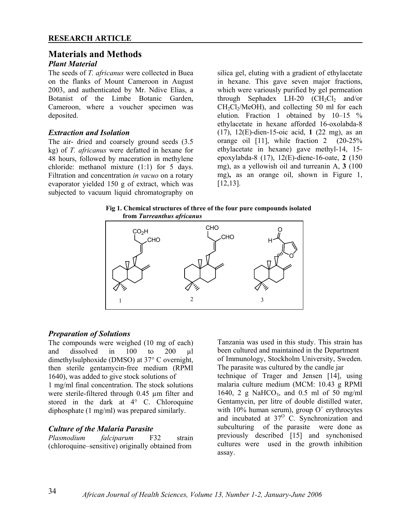# **Materials and Methods**

# *Plant Material*

The seeds of *T. africanus* were collected in Buea on the flanks of Mount Cameroon in August 2003, and authenticated by Mr. Ndive Elias, a Botanist of the Limbe Botanic Garden, Cameroon, where a voucher specimen was deposited.

#### *Extraction and Isolation*

The air- dried and coarsely ground seeds (3.5 kg) of *T. africanus* were defatted in hexane for 48 hours, followed by maceration in methylene chloride: methanol mixture (1:1) for 5 days. Filtration and concentration *in vacuo* on a rotary evaporator yielded 150 g of extract, which was subjected to vacuum liquid chromatography on

silica gel, eluting with a gradient of ethylacetate in hexane. This gave seven major fractions, which were variously purified by gel permeation through Sephadex LH-20  $(CH_2Cl_2$  and/or  $CH<sub>2</sub>Cl<sub>2</sub>/MeOH$ , and collecting 50 ml for each elution. Fraction 1 obtained by 10–15 % ethylacetate in hexane afforded 16-oxolabda-8 (17), 12(E)-dien-15-oic acid, **1** (22 mg), as an orange oil [11], while fraction 2 (20-25% ethylacetate in hexane) gave methyl-14, 15 epoxylabda-8 (17), 12(E)-diene-16-oate, **2** (150 mg), as a yellowish oil and turreanin A, **3** (100 mg)**,** as an orange oil, shown in Figure 1, [12,13].

 **Fig 1. Chemical structures of three of the four pure compounds isolated from** *Turreanthus africanus* 



#### *Preparation of Solutions*

The compounds were weighed (10 mg of each) and dissolved in 100 to 200 ul dimethylsulphoxide (DMSO) at 37° C overnight, then sterile gentamycin-free medium (RPMI 1640), was added to give stock solutions of 1 mg/ml final concentration. The stock solutions were sterile-filtered through 0.45 µm filter and stored in the dark at 4° C. Chloroquine diphosphate (1 mg/ml) was prepared similarly.

#### *Culture of the Malaria Parasite*

*Plasmodium falciparum* F32 strain (chloroquine–sensitive) originally obtained from

Tanzania was used in this study. This strain has been cultured and maintained in the Department of Immunology, Stockholm University, Sweden. The parasite was cultured by the candle jar

technique of Trager and Jensen [14], using malaria culture medium (MCM: 10.43 g RPMI 1640, 2 g NaHCO<sub>3</sub>, and 0.5 ml of 50 mg/ml Gentamycin, per litre of double distilled water, with 10% human serum), group  $O^+$  erythrocytes and incubated at  $37^\circ$  C. Synchronization and subculturing of the parasite were done as previously described [15] and synchonised cultures were used in the growth inhibition assay.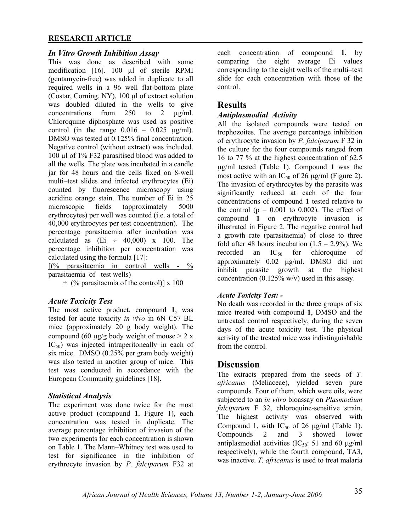## **RESEARCH ARTICLE**

#### *In Vitro Growth Inhibition Assay*

This was done as described with some modification [16]. 100 µl of sterile RPMI (gentamycin-free) was added in duplicate to all required wells in a 96 well flat-bottom plate (Costar, Corning, NY), 100 µl of extract solution was doubled diluted in the wells to give concentrations from 250 to 2 µg/ml. Chloroquine diphosphate was used as positive control (in the range  $0.016 - 0.025$   $\mu$ g/ml). DMSO was tested at 0.125% final concentration. Negative control (without extract) was included. 100 µl of 1% F32 parasitised blood was added to all the wells. The plate was incubated in a candle jar for 48 hours and the cells fixed on 8-well multi–test slides and infected erythrocytes (Ei) counted by fluorescence microscopy using acridine orange stain. The number of Ei in 25 microscopic fields (approximately 5000 erythrocytes) per well was counted (i.e. a total of 40,000 erythrocytes per test concentration). The percentage parasitaemia after incubation was calculated as  $(Ei \div 40,000)$  x 100. The percentage inhibition per concentration was calculated using the formula [17]:

 $[(\%$  parasitaemia in control wells - % parasitaemia of test wells)

 $\div$  (% parasitaemia of the control)] x 100

#### *Acute Toxicity Test*

The most active product, compound **1**, was tested for acute toxicity *in vivo* in 6N C57 BL mice (approximately 20 g body weight). The compound (60  $\mu$ g/g body weight of mouse > 2 x  $IC_{50}$ ) was injected intraperitoneally in each of six mice. DMSO (0.25% per gram body weight) was also tested in another group of mice. This test was conducted in accordance with the European Community guidelines [18].

#### *Statistical Analysis*

The experiment was done twice for the most active product (compound **1**, Figure 1), each concentration was tested in duplicate. The average percentage inhibition of invasion of the two experiments for each concentration is shown on Table 1. The Mann–Whitney test was used to test for significance in the inhibition of erythrocyte invasion by *P. falciparum* F32 at

each concentration of compound **1**, by comparing the eight average Ei values corresponding to the eight wells of the multi–test slide for each concentration with those of the control.

## **Results**

#### *Antiplasmodial Activity*

All the isolated compounds were tested on trophozoites. The average percentage inhibition of erythrocyte invasion by *P. falciparum* F 32 in the culture for the four compounds ranged from 16 to 77 % at the highest concentration of 62.5 µg/ml tested (Table 1). Compound **1** was the most active with an  $IC_{50}$  of 26  $\mu$ g/ml (Figure 2). The invasion of erythrocytes by the parasite was significantly reduced at each of the four concentrations of compound **1** tested relative to the control ( $p = 0.001$  to 0.002). The effect of compound **1** on erythrocyte invasion is illustrated in Figure 2. The negative control had a growth rate (parasitaemia) of close to three fold after 48 hours incubation  $(1.5 - 2.9\%)$ . We recorded an  $IC_{50}$  for chloroquine of approximately 0.02 µg/ml. DMSO did not inhibit parasite growth at the highest concentration  $(0.125\% \text{ w/v})$  used in this assay.

#### *Acute Toxicity Test: -*

No death was recorded in the three groups of six mice treated with compound **1**, DMSO and the untreated control respectively, during the seven days of the acute toxicity test. The physical activity of the treated mice was indistinguishable from the control.

# **Discussion**

The extracts prepared from the seeds of *T. africanus* (Meliaceae), yielded seven pure compounds. Four of them, which were oils, were subjected to an *in vitro* bioassay on *Plasmodium falciparum* F 32, chloroquine-sensitive strain. The highest activity was observed with Compound 1, with  $IC_{50}$  of 26  $\mu$ g/ml (Table 1). Compounds 2 and 3 showed lower antiplasmodial activities ( $IC_{50}$ : 51 and 60  $\mu$ g/ml respectively), while the fourth compound, TA3, was inactive. *T. africanus* is used to treat malaria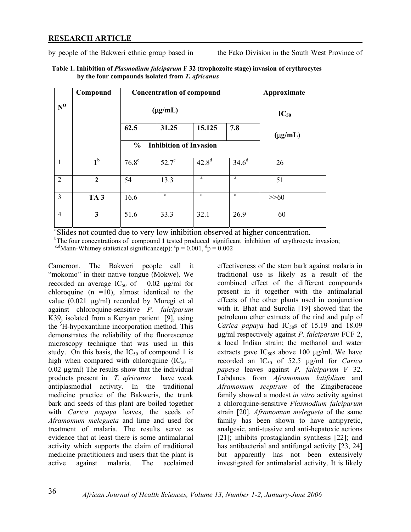#### **RESEARCH ARTICLE**

by people of the Bakweri ethnic group based in the Fako Division in the South West Province of

|                       | Compound        | <b>Concentration of compound</b><br>$(\mu g/mL)$ |              |            |          | Approximate<br>$IC_{50}$ |
|-----------------------|-----------------|--------------------------------------------------|--------------|------------|----------|--------------------------|
| $N^0$                 |                 |                                                  |              |            |          |                          |
|                       |                 | 62.5                                             | 31.25        | 15.125     | 7.8      | $(\mu g/mL)$             |
|                       |                 | <b>Inhibition of Invasion</b><br>$\frac{6}{6}$   |              |            |          |                          |
| 1                     | 1 <sup>b</sup>  | $76.8^\circ$                                     | $52.7^\circ$ | $42.8^{d}$ | $34.6^d$ | 26                       |
| 2                     | $\overline{2}$  | 54                                               | 13.3         | a          | $\rm{a}$ | 51                       |
| $\overline{3}$        | TA <sub>3</sub> | 16.6                                             | a            | a          | a        | $>>60$                   |
| $\overline{4}$        | 3               | 51.6                                             | 33.3         | 32.1       | 26.9     | 60                       |
| $\Omega$ and $\Omega$ |                 |                                                  |              |            |          |                          |

| Table 1. Inhibition of <i>Plasmodium falciparum</i> F 32 (trophozoite stage) invasion of erythrocytes |
|-------------------------------------------------------------------------------------------------------|
| by the four compounds isolated from T. africanus                                                      |

<sup>a</sup>Slides not counted due to very low inhibition observed at higher concentration.

<sup>b</sup>The four concentrations of compound 1 tested produced significant inhibition of erythrocyte invasion;

<sup>c,d</sup>Mann-Whitney statistical significance(p):  ${}^c p = 0.001$ ,  ${}^d p = 0.002$ 

Cameroon. The Bakweri people call it "mokomo" in their native tongue (Mokwe). We recorded an average  $IC_{50}$  of 0.02  $\mu$ g/ml for chloroquine  $(n = 10)$ , almost identical to the value (0.021 µg/ml) recorded by Muregi et al against chloroquine-sensitive *P. falciparum* K39, isolated from a Kenyan patient [9], using the <sup>3</sup>H-hypoxanthine incorporation method. This demonstrates the reliability of the fluorescence microscopy technique that was used in this study. On this basis, the  $IC_{50}$  of compound 1 is high when compared with chloroquine  $(IC_{50} =$  $0.02 \mu g/ml$ ) The results show that the individual products present in *T. africanus* have weak antiplasmodial activity. In the traditional medicine practice of the Bakweris, the trunk bark and seeds of this plant are boiled together with *Carica papaya* leaves, the seeds of *Aframomum melegueta* and lime and used for treatment of malaria. The results serve as evidence that at least there is some antimalarial activity which supports the claim of traditional medicine practitioners and users that the plant is active against malaria. The acclaimed

effectiveness of the stem bark against malaria in traditional use is likely as a result of the combined effect of the different compounds present in it together with the antimalarial effects of the other plants used in conjunction with it. Bhat and Surolia [19] showed that the petroleum ether extracts of the rind and pulp of *Carica papaya* had  $IC_{50}$ s of 15.19 and 18.09 µg/ml respectively against *P. falciparum* FCF 2, a local Indian strain; the methanol and water extracts gave  $IC_{50}$ s above 100 µg/ml. We have recorded an IC50 of 52.5 µg/ml for *Carica papaya* leaves against *P. falciparum* F 32. Labdanes from *Aframomum latifolium* and *Aframomum sceptrum* of the Zingiberaceae family showed a modest *in vitro* activity against a chloroquine-sensitive *Plasmodium falciparum* strain [20]. *Aframomum melegueta* of the same family has been shown to have antipyretic, analgesic, anti-tussive and anti-hepatoxic actions [21]; inhibits prostaglandin synthesis [22]; and has antibacterial and antifungal activity [23, 24] but apparently has not been extensively investigated for antimalarial activity. It is likely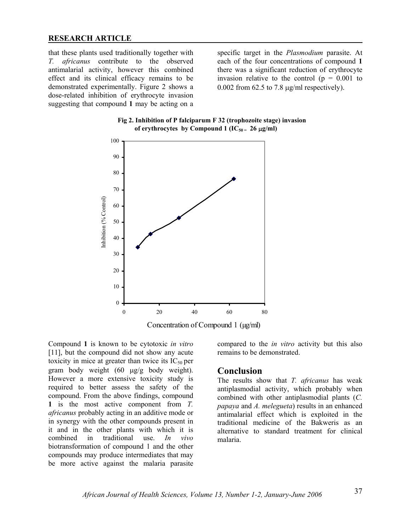#### **RESEARCH ARTICLE**

that these plants used traditionally together with *T. africanus* contribute to the observed antimalarial activity, however this combined effect and its clinical efficacy remains to be demonstrated experimentally. Figure 2 shows a dose-related inhibition of erythrocyte invasion suggesting that compound **1** may be acting on a

specific target in the *Plasmodium* parasite. At each of the four concentrations of compound **1** there was a significant reduction of erythrocyte invasion relative to the control ( $p = 0.001$  to 0.002 from 62.5 to 7.8 µg/ml respectively).





Concentration of Compound 1 (µg/ml)

Compound **1** is known to be cytotoxic *in vitro*  [11], but the compound did not show any acute toxicity in mice at greater than twice its  $IC_{50}$  per gram body weight (60 µg/g body weight). However a more extensive toxicity study is required to better assess the safety of the compound. From the above findings, compound **1** is the most active component from *T. africanus* probably acting in an additive mode or in synergy with the other compounds present in it and in the other plants with which it is combined in traditional use. *In vivo* biotransformation of compound 1 and the other compounds may produce intermediates that may be more active against the malaria parasite

compared to the *in vitro* activity but this also remains to be demonstrated.

#### **Conclusion**

The results show that *T. africanus* has weak antiplasmodial activity, which probably when combined with other antiplasmodial plants (*C. papaya* and *A. melegueta*) results in an enhanced antimalarial effect which is exploited in the traditional medicine of the Bakweris as an alternative to standard treatment for clinical malaria.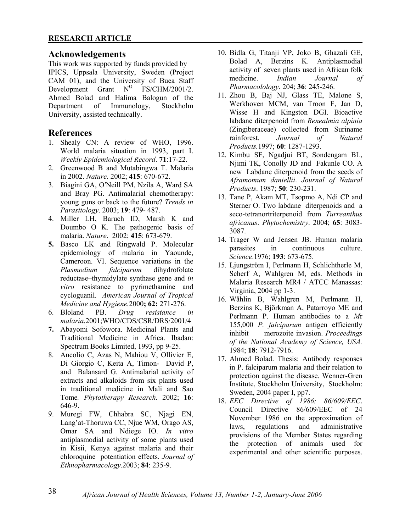# **Acknowledgements**

This work was supported by funds provided by IPICS, Uppsala University, Sweden (Project CAM 01), and the University of Buea Staff Development Grant  $N^{\Omega}$  FS/CHM/2001/2. Ahmed Bolad and Halima Balogun of the Department of Immunology, Stockholm University, assisted technically.

# **References**

- 1. Shealy CN: A review of WHO, 1996. World malaria situation in 1993, part I. *Weekly Epidemiological Record*. **71**:17-22.
- 2. Greenwood B and Mutabingwa T. Malaria in 2002. *Nature*. 2002; **415**: 670-672.
- 3. Biagini GA, O′Neill PM, Nzila A, Ward SA and Bray PG. Antimalarial chemotherapy: young guns or back to the future? *Trends in Parasitology*. 2003; **19**: 479- 487.
- 4. Miller LH, Baruch ID, Marsh K and Doumbo O K. The pathogenic basis of malaria. *Nature*. 2002; **415**: 673-679.
- **5.** Basco LK and Ringwald P. Molecular epidemiology of malaria in Yaounde, Cameroon. VI. Sequence variations in the *Plasmodium falciparum* dihydrofolate reductase–thymidylate synthase gene and *in vitro* resistance to pyrimethamine and cycloguanil. *American Journal of Tropical Medicine and Hygiene.*2000**; 62:** 271-276.
- 6. Bloland PB. *Drug resistance in malaria*.2001;WHO/CDS/CSR/DRS/2001/4
- **7.** Abayomi Sofowora. Medicinal Plants and Traditional Medicine in Africa. Ibadan: Spectrum Books Limited, 1993, pp 9-25.
- 8. Ancolio C, Azas N, Mahiou V, Ollivier E, Di Giorgio C, Keita A, Timon- David P, and Balansard G. Antimalarial activity of extracts and alkaloids from six plants used in traditional medicine in Mali and Sao Tome*. Phytotherapy Research.* 2002; **16**: 646-9.
- 9. Muregi FW, Chhabra SC, Njagi EN, Lang'at-Thoruwa CC, Njue WM, Orago AS, Omar SA and Ndiege IO. *In vitro* antiplasmodial activity of some plants used in Kisii, Kenya against malaria and their chloroquine potentiation effects. *Journal of Ethnopharmacology*.2003; **84**: 235-9.
- 10. Bidla G, Titanji VP, Joko B, Ghazali GE, Bolad A, Berzins K. Antiplasmodial activity of seven plants used in African folk medicine. *Indian Journal of Pharmacolology*. 204; **36**: 245-246.
- 11. Zhou B, Baj NJ, Glass TE, Malone S, Werkhoven MCM, van Troon F, Jan D, Wisse H and Kingston DGI. Bioactive labdane diterpenoid from *Renealmia alpinia*  (Zingiberaceae) collected from Suriname rainforest. *Journal of Natural Products.*1997; **60**: 1287-1293.
- 12. Kimbu SF, Ngadjui BT, Sondengam BL, Njimi TK, Conolly JD and Fakunle CO. A new Labdane diterpenoid from the seeds of *Aframomum daniellii*. *Journal of Natural Products*. 1987; **50**: 230-231.
- 13. Tane P, Akam MT, Tsopmo A, Ndi CP and Sterner O. Two labdane diterpenoids and a seco-tetranortriterpenoid from *Turreanthus africanus*. *Phytochemistry*. 2004; **65**: 3083- 3087.
- 14. Trager W and Jensen JB. Human malaria parasites in continuous culture. *Science*.1976; **193**: 673-675.
- 15. Ljungström I, Perlmann H, Schlichtherle M, Scherf A, Wahlgren M, eds. Methods in Malaria Research MR4 / ATCC Manassas: Virginia, 2004 pp 1-3.
- 16. Wåhlin B, Wahlgren M, Perlmann H, Berzins K, Björkman A, Patarroyo ME and Perlmann P. Human antibodies to a *M*r 155,000 *P. falciparum* antigen efficiently inhibit merozoite invasion. *Proceedings of the National Academy of Science, USA.* 1984; **18**: 7912-7916.
- 17. Ahmed Bolad. Thesis: Antibody responses in P. falciparum malaria and their relation to protection against the disease. Wenner-Gren Institute, Stockholm University, Stockholm: Sweden, 2004 paper I, pp7.
- 18. *EEC Directive of 1986; 86/609/EEC*. Council Directive 86/609/EEC of 24 November 1986 on the approximation of laws, regulations and administrative provisions of the Member States regarding the protection of animals used for experimental and other scientific purposes.